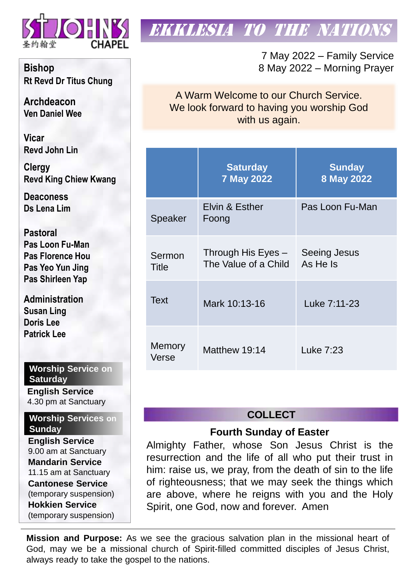

# **EKKLESIA TO THE NATION**

7 May 2022 – Family Service 8 May 2022 – Morning Prayer

A Warm Welcome to our Church Service. We look forward to having you worship God with us again.

|                        | <b>Saturday</b><br><b>7 May 2022</b>         | <b>Sunday</b><br>8 May 2022     |  |
|------------------------|----------------------------------------------|---------------------------------|--|
| Speaker                | Elvin & Esther<br>Foong                      | Pas Loon Fu-Man                 |  |
| Sermon<br>Title        | Through His Eyes $-$<br>The Value of a Child | <b>Seeing Jesus</b><br>As He Is |  |
| <b>Text</b>            | Mark 10:13-16                                | Luke 7:11-23                    |  |
| <b>Memory</b><br>Verse | Matthew 19:14                                | Luke 7:23                       |  |

# **COLLECT**

## **Fourth Sunday of Easter**

Almighty Father, whose Son Jesus Christ is the resurrection and the life of all who put their trust in him: raise us, we pray, from the death of sin to the life of righteousness; that we may seek the things which are above, where he reigns with you and the Holy Spirit, one God, now and forever. Amen

**Mission and Purpose:** As we see the gracious salvation plan in the missional heart of God, may we be a missional church of Spirit-filled committed disciples of Jesus Christ, always ready to take the gospel to the nations.

**Bishop Rt Revd Dr Titus Chung**

**Archdeacon Ven Daniel Wee**

**Vicar Revd John Lin** 

**Clergy Revd King Chiew Kwang**

**Deaconess Ds Lena Lim**

**Pastoral Pas Loon Fu-Man Pas Florence Hou Pas Yeo Yun Jing Pas Shirleen Yap**

**Administration Susan Ling Doris Lee Patrick Lee**

**Worship Service on Saturday**

**English Service**  4.30 pm at Sanctuary

**Worship Services on Sunday**

**English Service** 9.00 am at Sanctuary **Mandarin Service** 11.15 am at Sanctuary **Cantonese Service** (temporary suspension) **Hokkien Service** (temporary suspension)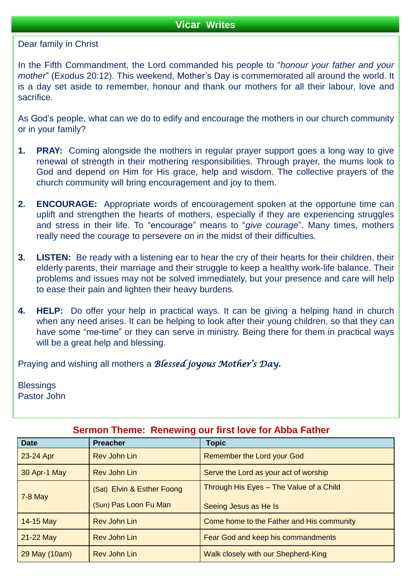Dear family in Christ

In the Fifth Commandment, the Lord commanded his people to "*honour your father and your mother*" (Exodus 20:12). This weekend, Mother's Day is commemorated all around the world. It is a day set aside to remember, honour and thank our mothers for all their labour, love and sacrifice.

As God's people, what can we do to edify and encourage the mothers in our church community or in your family?

- **1. PRAY:** Coming alongside the mothers in regular prayer support goes a long way to give renewal of strength in their mothering responsibilities. Through prayer, the mums look to God and depend on Him for His grace, help and wisdom. The collective prayers of the church community will bring encouragement and joy to them.
- **2. ENCOURAGE:** Appropriate words of encouragement spoken at the opportune time can uplift and strengthen the hearts of mothers, especially if they are experiencing struggles and stress in their life. To "encourage" means to "*give courage*". Many times, mothers really need the courage to persevere on in the midst of their difficulties.
- **3. LISTEN:** Be ready with a listening ear to hear the cry of their hearts for their children, their elderly parents, their marriage and their struggle to keep a healthy work-life balance. Their problems and issues may not be solved immediately, but your presence and care will help to ease their pain and lighten their heavy burdens.
- **4. HELP:** Do offer your help in practical ways. It can be giving a helping hand in church when any need arises. It can be helping to look after their young children, so that they can have some "me-time" or they can serve in ministry. Being there for them in practical ways will be a great help and blessing.

Praying and wishing all mothers a *Blessed joyous Mother's Day.*

**Blessings** Pastor John

| <b>Date</b>   | <b>Preacher</b>            | <b>Topic</b>                              |  |  |
|---------------|----------------------------|-------------------------------------------|--|--|
| 23-24 Apr     | <b>Rev John Lin</b>        | <b>Remember the Lord your God</b>         |  |  |
| 30 Apr-1 May  | <b>Rev John Lin</b>        | Serve the Lord as your act of worship     |  |  |
| $7-8$ May     | (Sat) Elvin & Esther Foong | Through His Eyes - The Value of a Child   |  |  |
|               | (Sun) Pas Loon Fu Man      | Seeing Jesus as He Is                     |  |  |
| 14-15 May     | <b>Rev John Lin</b>        | Come home to the Father and His community |  |  |
| 21-22 May     | <b>Rev John Lin</b>        | Fear God and keep his commandments        |  |  |
| 29 May (10am) | <b>Rev John Lin</b>        | Walk closely with our Shepherd-King       |  |  |

## **Sermon Theme: Renewing our first love for Abba Father**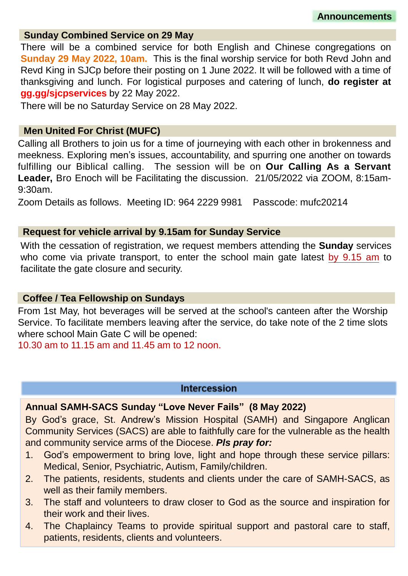#### **Sunday Combined Service on 29 May**

There will be a combined service for both English and Chinese congregations on **Sunday 29 May 2022, 10am.** This is the final worship service for both Revd John and Revd King in SJCp before their posting on 1 June 2022. It will be followed with a time of thanksgiving and lunch. For logistical purposes and catering of lunch, **do register at gg.gg/sjcpservices** by 22 May 2022.

There will be no Saturday Service on 28 May 2022.

#### **Men United For Christ (MUFC)**

Calling all Brothers to join us for a time of journeying with each other in brokenness and meekness. Exploring men's issues, accountability, and spurring one another on towards fulfilling our Biblical calling. The session will be on **Our Calling As a Servant Leader,** Bro Enoch will be Facilitating the discussion. 21/05/2022 via ZOOM, 8:15am-9:30am.

Zoom Details as follows. Meeting ID: 964 2229 9981 Passcode: mufc20214

#### **Request for vehicle arrival by 9.15am for Sunday Service**

With the cessation of registration, we request members attending the **Sunday** services who come via private transport, to enter the school main gate latest by 9.15 am to facilitate the gate closure and security.

#### **Coffee / Tea Fellowship on Sundays**

From 1st May, hot beverages will be served at the school's canteen after the Worship Service. To facilitate members leaving after the service, do take note of the 2 time slots where school Main Gate C will be opened:

10.30 am to 11.15 am and 11.45 am to 12 noon.

#### **Intercession**

### **Annual SAMH-SACS Sunday "Love Never Fails" (8 May 2022)**

By God's grace, St. Andrew's Mission Hospital (SAMH) and Singapore Anglican Community Services (SACS) are able to faithfully care for the vulnerable as the health and community service arms of the Diocese. *Pls pray for:*

- 1. God's empowerment to bring love, light and hope through these service pillars: Medical, Senior, Psychiatric, Autism, Family/children.
- 2. The patients, residents, students and clients under the care of SAMH-SACS, as well as their family members.
- 3. The staff and volunteers to draw closer to God as the source and inspiration for their work and their lives.
- 4. The Chaplaincy Teams to provide spiritual support and pastoral care to staff, patients, residents, clients and volunteers.